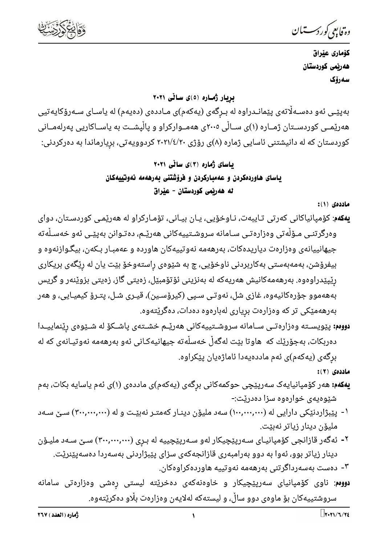

دە فابىي كوردسىتىان

كۆمارى عێراق هەربمى كوردستان سەرۆك

بریار ژماره (٥)ی سالّی ۲۰۲۱

بەپێـی ئەو دەسـﻪڵاتەی پێمانـدراوە لە بـرگەی (يەكەم)ی مـاددەی (دەيەم) لە ياسـای سـﻪرۆكايەتيى هەرێمــی کوردســتان ژمــاره (۱)ی ســاڵی ۲۰۰۵ی هەمــوارکراو و پاڵپشــت به یاســاکاریی پەرلەمــانی کوردستان که له دانیشتنی ئاسایی ژماره (۸)ی رۆژی ۲۰۲۱/٤/۲۰ کردوویهتی، بریارماندا به دهرکردنی:

باسای ژماره (۳)ی سالّی ۲۰۲۱ ياسای هاوردهکردن و عهمبارکردن و فروّشتنی بهرههمه نهوتییهکان ئه هەربّمى كوردستان - عيّراق

ماددهى (١):

- **یهکهم**: کۆمپانیاکانی کەرتی تـایبەت، نـاوخۆیی، یـان بیـانی، تۆمـارکراو له هەرێمـی کوردسـتان، دوای وەرگرتنـی مـۆڵەتى وەزارەتـی سـامانە سروشـتییەکانی ھەرێـم، دەتـوانن بەپێـی ئەو خەسـڵەتە جیهانییانهی وهزارهت دیاریدهکات، بهرههمه نهوتییهکان هاورده و عهمبـار بـکهن، بیگـوازنهوه و بیفرۆشن، بەمەبەستی بەکاربردنی ناوخۆیی، چ بە شێوەی راستەوخۆ بێت یان لە رێگەی بریکاری رێیێدراوەوە. بەرھەمەكانیش ھەریەكە لە بەنزینی ئۆتۆمبێل، زەیتی گاز، زەیتی بزوێنەر و گریس بەھەموو جۆرەكانيەوە، غازى شل، نەوتى سـپى (كيرۆسـين)، قيـرى شـل، پتـرۆ كيميـايى، و ھەر بەرھەمێکی تر کە وەزارەت بریاری لەبارەوە دەدات، دەگرێتەوە.
- **دووم:** پێویسـته وەزارەتـی سـامانه سروشـتییهکانی هەرێـم خشـتەی پاشـکۆ له شـێوەی رێنماییــدا دەربكات، بەجۆرێك كە ھاوتا بێت لەگەڵ خەسڵەتە جيھانيەكـانى ئەو بەرھەمە نەوتيـانەى كە لە برگەی (يەكەم)ى ئەم ماددەيەدا ئاماژەيان يێكراوە.

ماددەى (٢):

- **یهکهم:** هەر کۆمپانیایەک سەرپێچی حوکمەکانی برگەی (یەکەم)ی ماددەی (۱)ی ئەم یاسایە بکات، بەم شێوەیەی خوارەوە سزا دەدرێت:-
- ۱- پێبژاردنێکی دارایی له (۱۰۰٫۰۰۰٫۰۰۰) سهد ملیۆن دینـار کهمتـر نهبێـت و له (۳۰۰٫۰۰۰٫۰۰۰) سـێ سـهد مليۆن دينار زياتر نەبێت.
- ۲- ئەگەر قازانجى كۆمپانيـاى سـەرپێچيكار لەو سـەرپێچييە لە بـرى (۳۰۰٬۰۰۰٬۰۰۰) سـێ سـەد مليـۆن دینار زیاتر بوو، ئەوا بە دوو بەرامبەری قازانجەکەی سزای پێبژاردنی بەسەردا دەسەپێنرێت.

۳- دەست بەسەرداگرتنى بەرھەمە نەوتييە ھاوردەكراوەكان.

**دووم**: ناوی کۆمپانیای سەرپێچیکار و خاوەنەکەی دەخرێتە لیستی رەشی وەزارەتی سامانە سروشتییهکان بۆ ماوەی دوو ساڵ، و لیستهکه لهلایهن وەزارەت بڵاو دەکرێتەوە.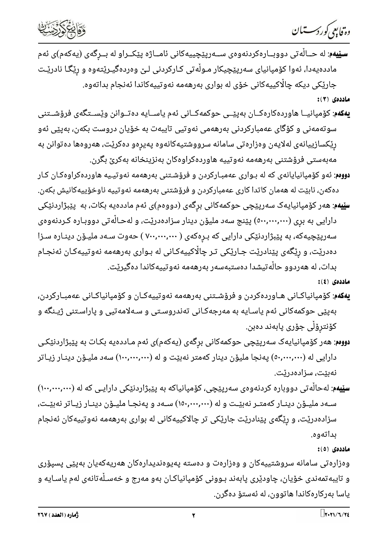دە فابىي كوردسىتىان



**سـێيەم**: له حــالْه تى دووبــارەكردنەوەي ســەرپێچييەكانى ئامــاژە پێكــراو له بــرگەي (يەكەم)ى ئەم ماددهیهدا، ئەوا کۆمپانیای سەرپێچیکار مـوڵەتی کـارکردنی لـێ وەردەگیـرێتەوە و رێگـا نادرێـت جارێکی دیکه چاڵاکییهکانی خۆی له بواری بهرههمه نهوتییهکاندا ئهنجام بداتهوه.

ماددەى (٣):

- **یهکهم**: کۆمپانیــا هاوردهکارهکــان بهپێــی حوکمهکــانی ئهم یاســایه ده تــوانن وێســتگهی فرۆشــتنی سوتەمەنى و كۆگاى عەمباركردنى بەرھەمى نەوتيى تايبەت بە خۆيان دروست بكەن، بەپێى ئەو رِیْکسازییانەی لەلایەن وەزارەتی سامانە سرووشتیەکانەوە پەیرەو دەکری٘ت، ھەروەھا دەتوانن بە مەبەستى فرۆشتنى بەرھەمە نەوتييە ھاوردەكراوەكان بەنزينخانە بەكرىٚ بگرن.
- <mark>دووم</mark>: ئەو كۆمپانيايانەی كە لە بـواری عەمبـاركردن و فرۆشـتنی بەرھەمە نەوتيـيە ھاوردەكراوەكـان كـار دەكەن، نابێت لە ھەمان كاتدا كارى عەمباركردن و فرۆشتنى بەرھەمە نەوتييە ناوخۆييەكانيش بكەن.
- **سێیهم**: هەر کۆمپانیایەک سەرپێچی حوکمەکانی برِگەی (دووەم)ی ئەم ماددەیە بکات، بە پێبژاردنێکی دارایی به بری (۰۰۰,۰۰۰,۰۰۰) پێنج سهد ملیۆن دینار سزادهدرێت، و لهحـالْهتی دووبـاره کـردنهوهی سهرپێچیهکه، به پێبژاردنێکی دارایی که بـرِهکهی ( ۷۰۰٫۰۰۰٫۰۰۰ ) حهوت سـهد ملیـۆن دینـاره سـزا دەدریت، و ریگەی یی٘نادری٘ت جـاریٚکی تـر چاڵاکییەکـانی له بـواری بەرھەمە نەوتییەکـان ئەنجـام بدات، له هەردوو حاڵەتيشدا دەستبەسەر بەرھەمە نەوتييەكاندا دەگيرێت.

ماددەي (٤):

- **یهکهم**: کۆمپانیاکـانی هـاوردهکردن و فرۆشـتنی بهرههمه نهوتییهکـان و کۆمپانیاکـانی عهمبـارکردن، بەپێی حوکمەکانی ئەم یاسـایە بە مەرجەکـانی تەندروسـتی و سـەلامەتیی و پاراسـتنی ژیـنگه و كۆنترۆلى جۆرى پابەند دەبن.
- **دووم**: هەر كۆمپانيايەک سەرپێچى حوكمەكانى برگەى (يەكەم)ى ئەم مـاددەيە بكـات بە پێبژاردنێكـى دارایی له (۰۰٫۰۰۰٫۰۰۰) پهنجا ملیوّن دینار کهمتر نهبیّت و له (۱۰۰٫۰۰۰٫۰۰۰) سهد ملیـوّن دینـار زیـاتر نەبٽت، سزادەدرێت.
- **سێیهم**: لهحاڵەتی دووباره کردنەوەی سەرپێچی، کۆمپانیاکه به پێبژاردنێکی دارایـی که له (۱۰۰,۰۰۰,۰۰۰) سـهد ملیــۆن دینـار کهمتــر نهبێـت و له (۱۵۰٫۰۰۰٫۰۰۰) سـهد و پهنجــا ملیــۆن دینـار زیــاتر نهبێـت، سزادهدریْت، و ریْگەی پیْنادریْت جاریْکی تر چالاکییەکانی له بواری بەرھەمە نەوتییەکان ئەنجام بداتەوە.

ماددەى (٥):

وهزارهتی سامانه سروشتییهکان و وهزارهت و دهسته پهیوهندیدارهکان ههریهکهیان بهیێی پسیۆری و تايبه تمەندى خۆيان، چاودێرى پابەند بـوونى كۆمپانياكـان بەو مەرج و خەسـلْەتانەى لەم ياسـايە و ياسا بەركارەكاندا ھاتوون، لە ئەستۆ دەگرن.